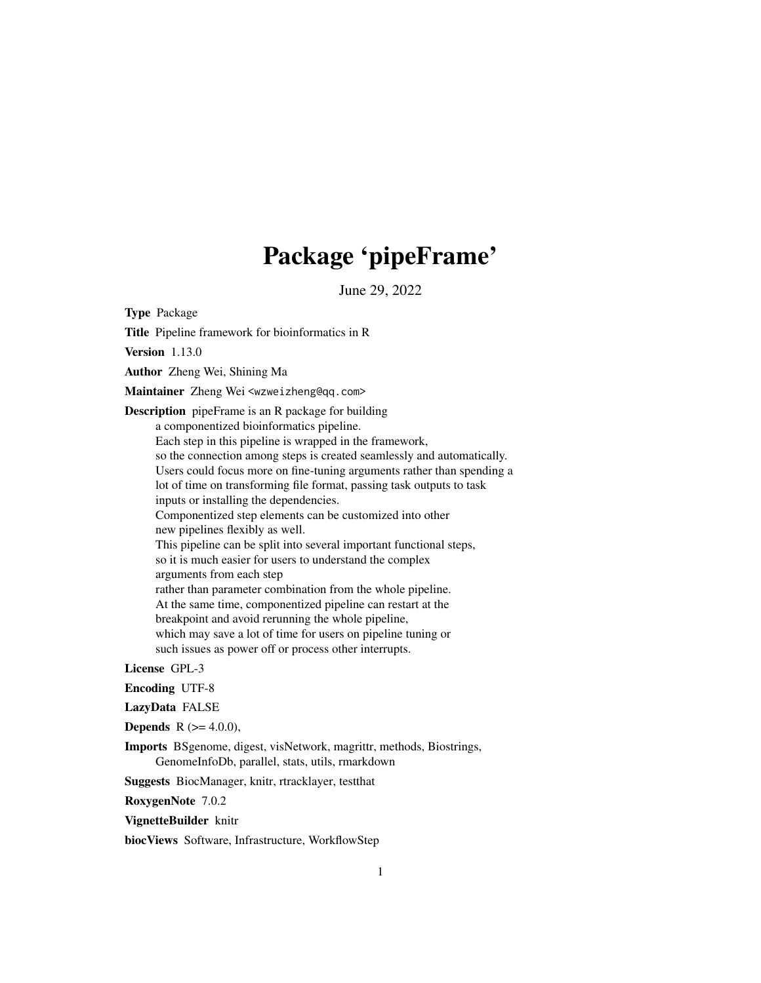# Package 'pipeFrame'

June 29, 2022

Type Package

Title Pipeline framework for bioinformatics in R

Version 1.13.0

Author Zheng Wei, Shining Ma

Maintainer Zheng Wei <wzweizheng@qq.com>

Description pipeFrame is an R package for building

a componentized bioinformatics pipeline.

Each step in this pipeline is wrapped in the framework, so the connection among steps is created seamlessly and automatically. Users could focus more on fine-tuning arguments rather than spending a lot of time on transforming file format, passing task outputs to task inputs or installing the dependencies. Componentized step elements can be customized into other new pipelines flexibly as well. This pipeline can be split into several important functional steps, so it is much easier for users to understand the complex arguments from each step rather than parameter combination from the whole pipeline. At the same time, componentized pipeline can restart at the breakpoint and avoid rerunning the whole pipeline, which may save a lot of time for users on pipeline tuning or such issues as power off or process other interrupts.

#### License GPL-3

Encoding UTF-8

LazyData FALSE

**Depends** R  $(>= 4.0.0)$ ,

Imports BSgenome, digest, visNetwork, magrittr, methods, Biostrings, GenomeInfoDb, parallel, stats, utils, rmarkdown

Suggests BiocManager, knitr, rtracklayer, testthat

RoxygenNote 7.0.2

VignetteBuilder knitr

biocViews Software, Infrastructure, WorkflowStep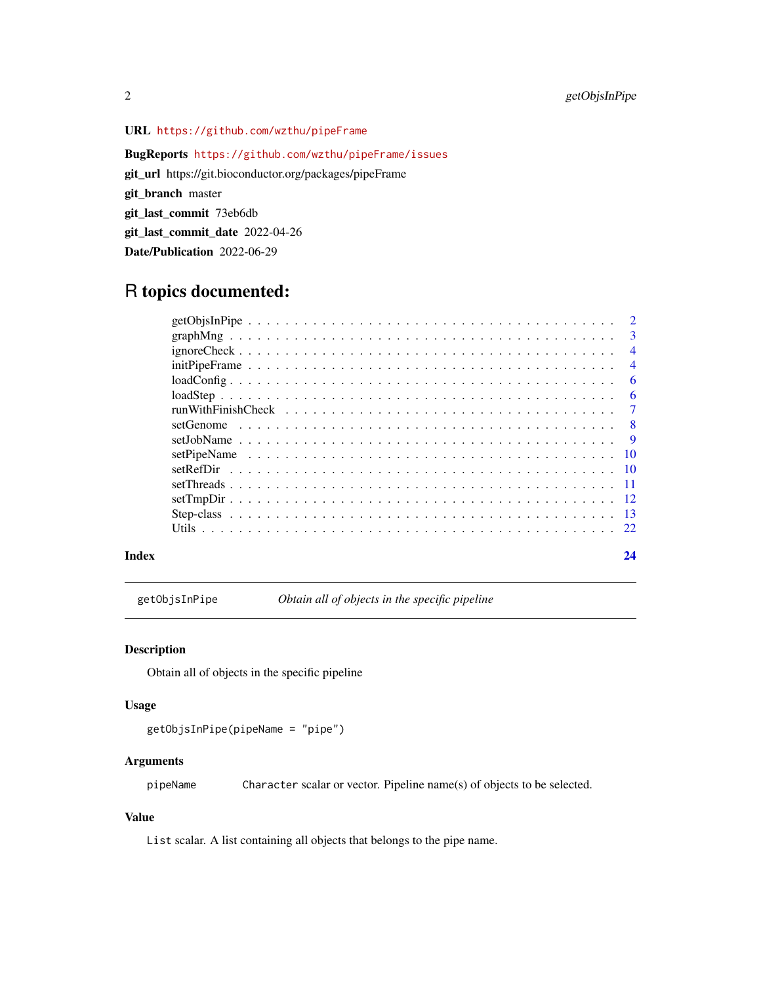# <span id="page-1-0"></span>URL <https://github.com/wzthu/pipeFrame>

BugReports <https://github.com/wzthu/pipeFrame/issues> git\_url https://git.bioconductor.org/packages/pipeFrame git\_branch master git\_last\_commit 73eb6db git\_last\_commit\_date 2022-04-26 Date/Publication 2022-06-29

# R topics documented:

|           | $\mathcal{D}$  |
|-----------|----------------|
|           | -3             |
|           | $\overline{4}$ |
|           | $\overline{4}$ |
|           | 6              |
|           | 6              |
|           | $\tau$         |
| setGenome | -8             |
|           | - 9            |
|           |                |
|           |                |
|           |                |
|           |                |
|           |                |
|           |                |
|           |                |

#### **Index** [24](#page-23-0)

getObjsInPipe *Obtain all of objects in the specific pipeline*

#### Description

Obtain all of objects in the specific pipeline

#### Usage

```
getObjsInPipe(pipeName = "pipe")
```
# Arguments

pipeName Character scalar or vector. Pipeline name(s) of objects to be selected.

#### Value

List scalar. A list containing all objects that belongs to the pipe name.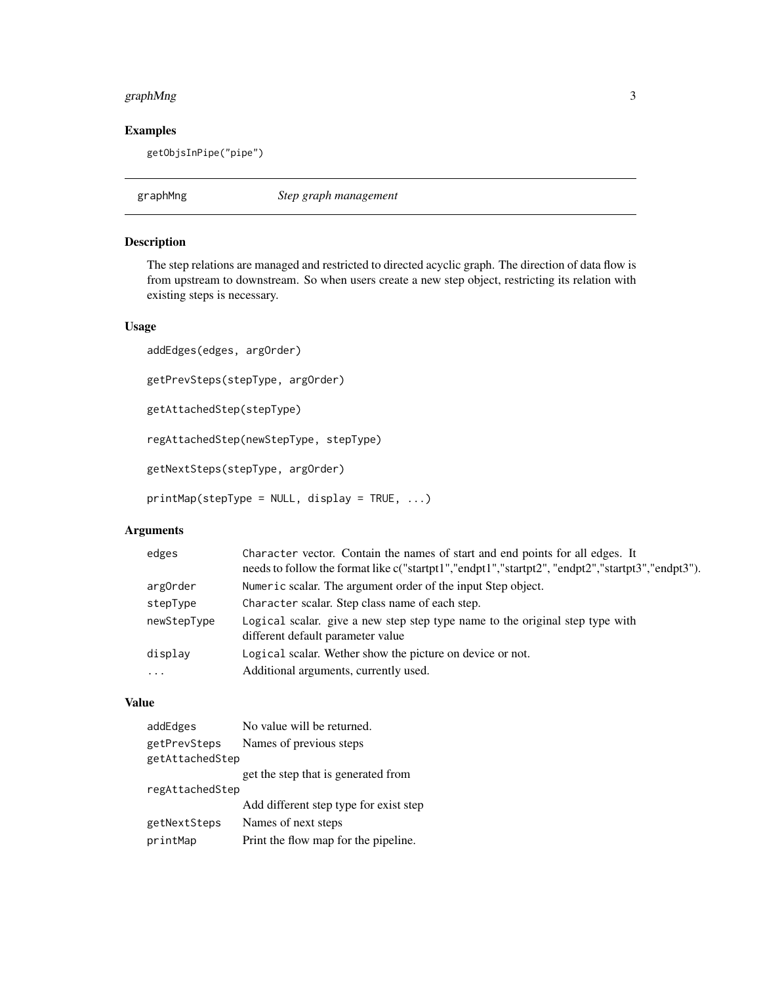# <span id="page-2-0"></span>graphMng 3

#### Examples

getObjsInPipe("pipe")

graphMng *Step graph management*

#### Description

The step relations are managed and restricted to directed acyclic graph. The direction of data flow is from upstream to downstream. So when users create a new step object, restricting its relation with existing steps is necessary.

#### Usage

```
addEdges(edges, argOrder)
getPrevSteps(stepType, argOrder)
getAttachedStep(stepType)
regAttachedStep(newStepType, stepType)
getNextSteps(stepType, argOrder)
printMap(stepType = NULL, display = TRUE, ...)
```
#### Arguments

| edges       | Character vector. Contain the names of start and end points for all edges. It<br>needs to follow the format like c("startpt1","endpt1","startpt2", "endpt2","startpt3","endpt3"). |
|-------------|-----------------------------------------------------------------------------------------------------------------------------------------------------------------------------------|
| argOrder    | Numeric scalar. The argument order of the input Step object.                                                                                                                      |
| stepType    | Character scalar. Step class name of each step.                                                                                                                                   |
| newStepType | Logical scalar. give a new step step type name to the original step type with<br>different default parameter value                                                                |
| display     | Logical scalar. We there how the picture on device or not.                                                                                                                        |
| $\cdot$     | Additional arguments, currently used.                                                                                                                                             |

#### Value

| addEdges                        | No value will be returned.             |
|---------------------------------|----------------------------------------|
| getPrevSteps<br>getAttachedStep | Names of previous steps                |
|                                 | get the step that is generated from    |
| regAttachedStep                 |                                        |
|                                 | Add different step type for exist step |
| getNextSteps                    | Names of next steps                    |
| printMap                        | Print the flow map for the pipeline.   |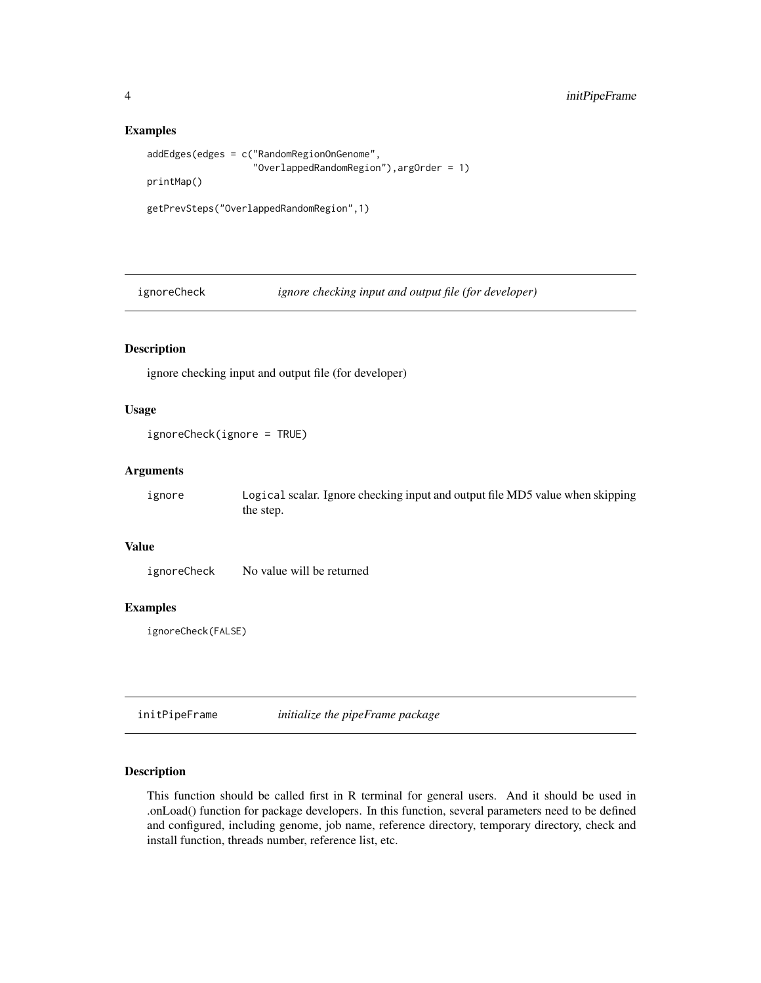#### Examples

```
addEdges(edges = c("RandomRegionOnGenome",
                   "OverlappedRandomRegion"),argOrder = 1)
printMap()
getPrevSteps("OverlappedRandomRegion",1)
```
ignoreCheck *ignore checking input and output file (for developer)*

# Description

ignore checking input and output file (for developer)

#### Usage

```
ignoreCheck(ignore = TRUE)
```
# Arguments

ignore Logical scalar. Ignore checking input and output file MD5 value when skipping the step.

# Value

ignoreCheck No value will be returned

# Examples

ignoreCheck(FALSE)

initPipeFrame *initialize the pipeFrame package*

# Description

This function should be called first in R terminal for general users. And it should be used in .onLoad() function for package developers. In this function, several parameters need to be defined and configured, including genome, job name, reference directory, temporary directory, check and install function, threads number, reference list, etc.

<span id="page-3-0"></span>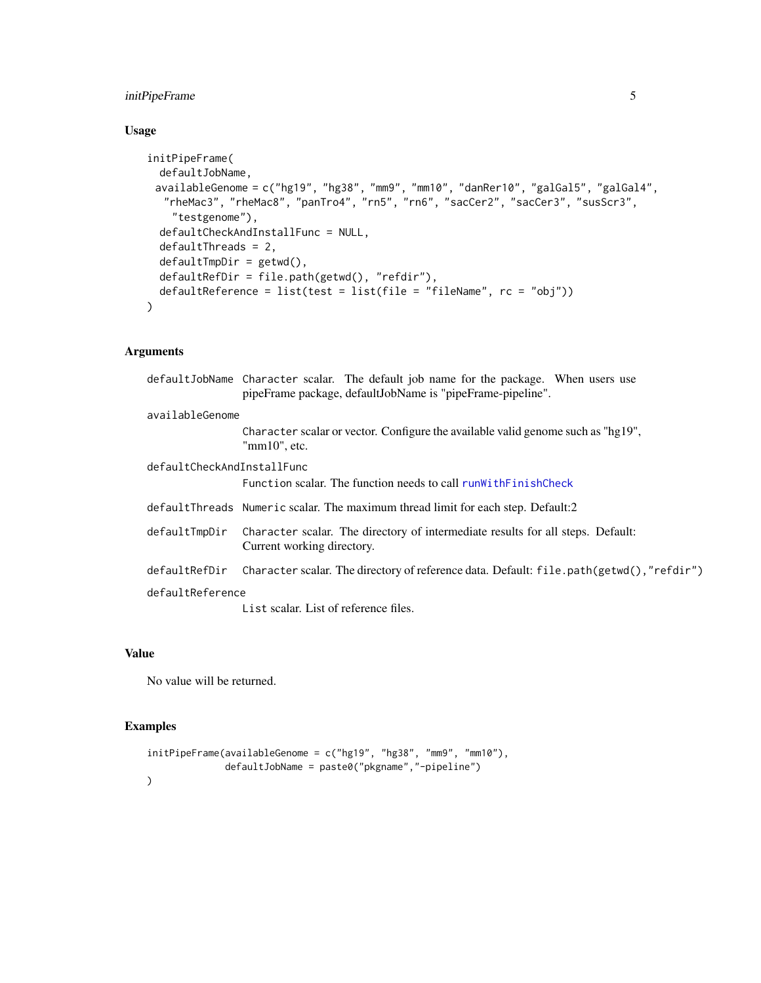# <span id="page-4-0"></span>initPipeFrame 5

# Usage

```
initPipeFrame(
 defaultJobName,
 availableGenome = c("hg19", "hg38", "mm9", "mm10", "danRer10", "galGal5", "galGal4",
  "rheMac3", "rheMac8", "panTro4", "rn5", "rn6", "sacCer2", "sacCer3", "susScr3",
    "testgenome"),
  defaultCheckAndInstallFunc = NULL,
  defaultThreads = 2,
  defaultTmpDir = getwd(),
  defaultRefDir = file.path(getwd(), "refdir"),
  defaultReference = list(test = list(file = "fileName", rc = "obj"))
\mathcal{L}
```
# Arguments

|                            | defaultJobName Character scalar. The default job name for the package. When users use<br>pipeFrame package, defaultJobName is "pipeFrame-pipeline". |
|----------------------------|-----------------------------------------------------------------------------------------------------------------------------------------------------|
| availableGenome            |                                                                                                                                                     |
|                            | Character scalar or vector. Configure the available valid genome such as "hg19",<br>"mm10", etc.                                                    |
| defaultCheckAndInstallFunc |                                                                                                                                                     |
|                            | Function scalar. The function needs to call runWithFinishCheck                                                                                      |
|                            | defaultThreads Numeric scalar. The maximum thread limit for each step. Default:2                                                                    |
| defaultTmpDir              | Character scalar. The directory of intermediate results for all steps. Default:<br>Current working directory.                                       |
| defaultRefDir              | Character scalar. The directory of reference data. Default: file.path(getwd(),"refdir")                                                             |
| defaultReference           |                                                                                                                                                     |
|                            | List scalar. List of reference files.                                                                                                               |

#### Value

No value will be returned.

#### Examples

```
initPipeFrame(availableGenome = c("hg19", "hg38", "mm9", "mm10"),
               defaultJobName = paste0("pkgname","-pipeline")
\mathcal{L}
```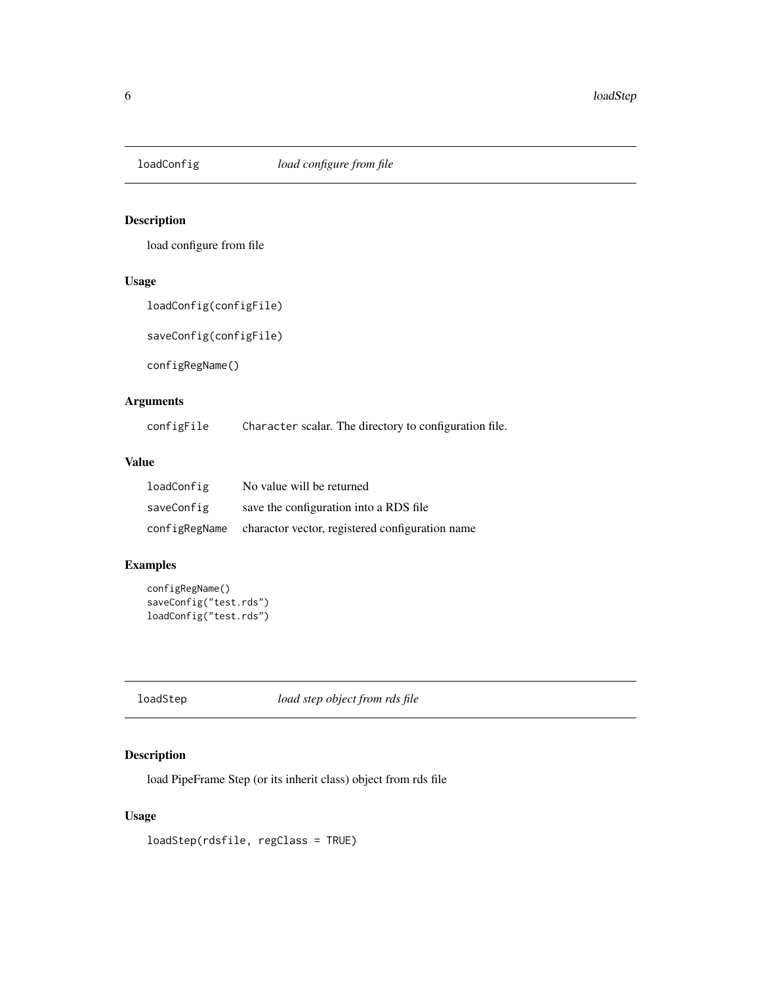<span id="page-5-0"></span>

# Description

load configure from file

# Usage

loadConfig(configFile)

saveConfig(configFile)

configRegName()

# Arguments

configFile Character scalar. The directory to configuration file.

#### Value

| loadConfig    | No value will be returned                       |
|---------------|-------------------------------------------------|
| saveConfig    | save the configuration into a RDS file.         |
| configRegName | charactor vector, registered configuration name |

# Examples

```
configRegName()
saveConfig("test.rds")
loadConfig("test.rds")
```
loadStep *load step object from rds file*

# Description

load PipeFrame Step (or its inherit class) object from rds file

#### Usage

loadStep(rdsfile, regClass = TRUE)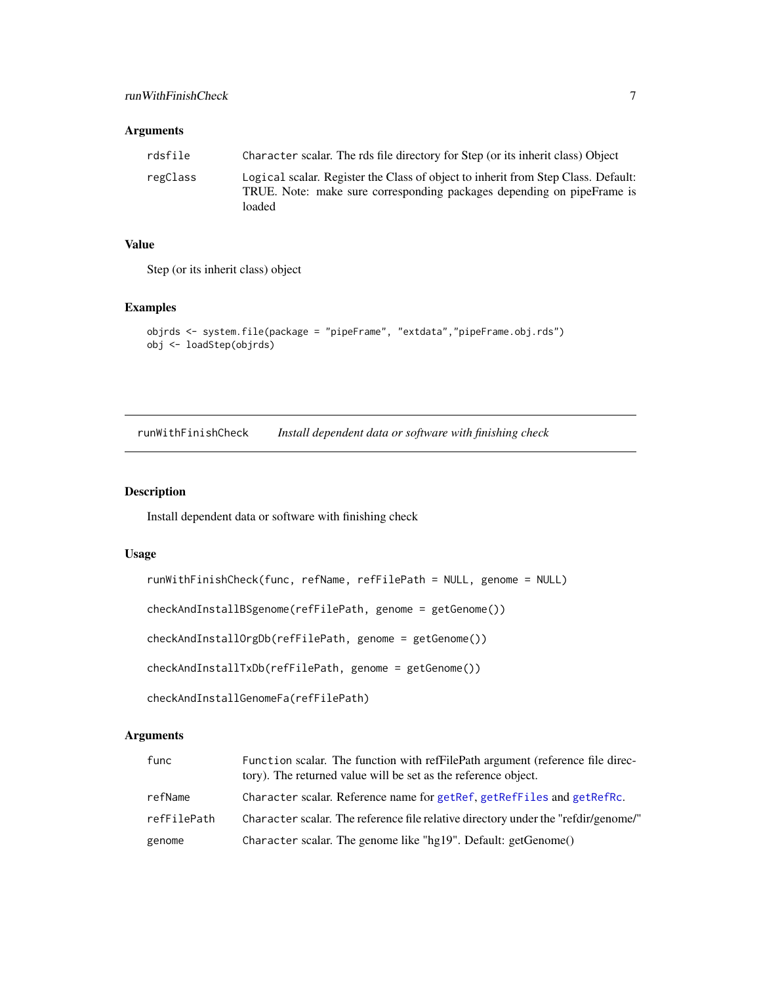#### <span id="page-6-0"></span>Arguments

| rdsfile  | Character scalar. The rds file directory for Step (or its inherit class) Object                                                                                       |
|----------|-----------------------------------------------------------------------------------------------------------------------------------------------------------------------|
| regClass | Logical scalar. Register the Class of object to inherit from Step Class. Default:<br>TRUE. Note: make sure corresponding packages depending on pipeFrame is<br>loaded |

#### Value

Step (or its inherit class) object

#### Examples

```
objrds <- system.file(package = "pipeFrame", "extdata","pipeFrame.obj.rds")
obj <- loadStep(objrds)
```
<span id="page-6-1"></span>runWithFinishCheck *Install dependent data or software with finishing check*

#### Description

Install dependent data or software with finishing check

#### Usage

```
runWithFinishCheck(func, refName, refFilePath = NULL, genome = NULL)
checkAndInstallBSgenome(refFilePath, genome = getGenome())
checkAndInstallOrgDb(refFilePath, genome = getGenome())
checkAndInstallTxDb(refFilePath, genome = getGenome())
checkAndInstallGenomeFa(refFilePath)
```
# Arguments

| func        | Function scalar. The function with refFilePath argument (reference file direc-<br>tory). The returned value will be set as the reference object. |
|-------------|--------------------------------------------------------------------------------------------------------------------------------------------------|
| refName     | Character scalar. Reference name for getRef, getRefFiles and getRefRc.                                                                           |
| refFilePath | Character scalar. The reference file relative directory under the "refdir/genome/"                                                               |
| genome      | Character scalar. The genome like "hg19". Default: getGenome()                                                                                   |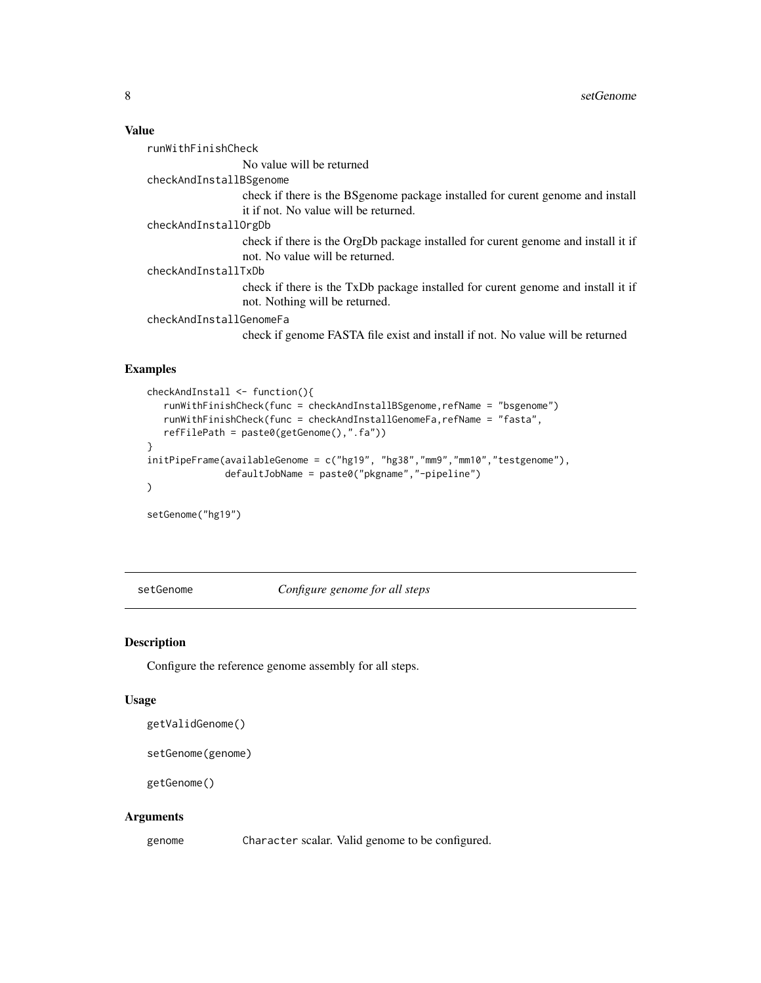#### <span id="page-7-0"></span>Value

| runWithFinishCheck      |                                                                                   |
|-------------------------|-----------------------------------------------------------------------------------|
|                         | No value will be returned                                                         |
| checkAndInstallBSgenome |                                                                                   |
|                         | check if there is the BS genome package installed for curent genome and install   |
|                         | it if not. No value will be returned.                                             |
| checkAndInstallOrgDb    |                                                                                   |
|                         | check if there is the OrgDb package installed for curent genome and install it if |
|                         | not. No value will be returned.                                                   |
| checkAndInstallTxDb     |                                                                                   |
|                         | check if there is the TxDb package installed for curent genome and install it if  |
|                         | not. Nothing will be returned.                                                    |
| checkAndInstallGenomeFa |                                                                                   |

check if genome FASTA file exist and install if not. No value will be returned

#### Examples

```
checkAndInstall <- function(){
   runWithFinishCheck(func = checkAndInstallBSgenome,refName = "bsgenome")
   runWithFinishCheck(func = checkAndInstallGenomeFa,refName = "fasta",
  refFilePath = paste0(getGenome(),".fa"))
}
initPipeFrame(availableGenome = c("hg19", "hg38","mm9","mm10","testgenome"),
              defaultJobName = paste0("pkgname","-pipeline")
)
```
setGenome("hg19")

<span id="page-7-1"></span>setGenome *Configure genome for all steps*

#### Description

Configure the reference genome assembly for all steps.

#### Usage

```
getValidGenome()
```

```
setGenome(genome)
```
getGenome()

#### Arguments

genome Character scalar. Valid genome to be configured.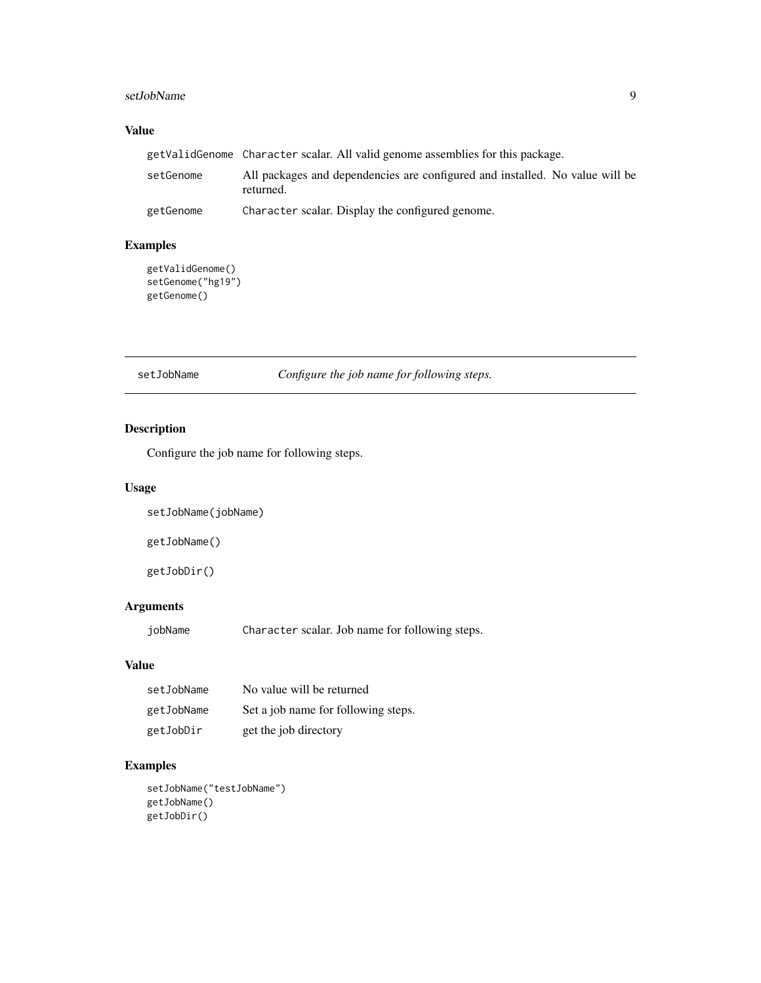# <span id="page-8-0"></span>setJobName 9

# Value

|           | getValidGenome Character scalar. All valid genome assemblies for this package.            |  |
|-----------|-------------------------------------------------------------------------------------------|--|
| setGenome | All packages and dependencies are configured and installed. No value will be<br>returned. |  |
| getGenome | Character scalar. Display the configured genome.                                          |  |

# Examples

```
getValidGenome()
setGenome("hg19")
getGenome()
```
setJobName *Configure the job name for following steps.*

# Description

Configure the job name for following steps.

# Usage

```
setJobName(jobName)
```
getJobName()

getJobDir()

# Arguments

jobName Character scalar. Job name for following steps.

#### Value

| setJobName | No value will be returned           |
|------------|-------------------------------------|
| getJobName | Set a job name for following steps. |
| getJobDir  | get the job directory               |

# Examples

```
setJobName("testJobName")
getJobName()
getJobDir()
```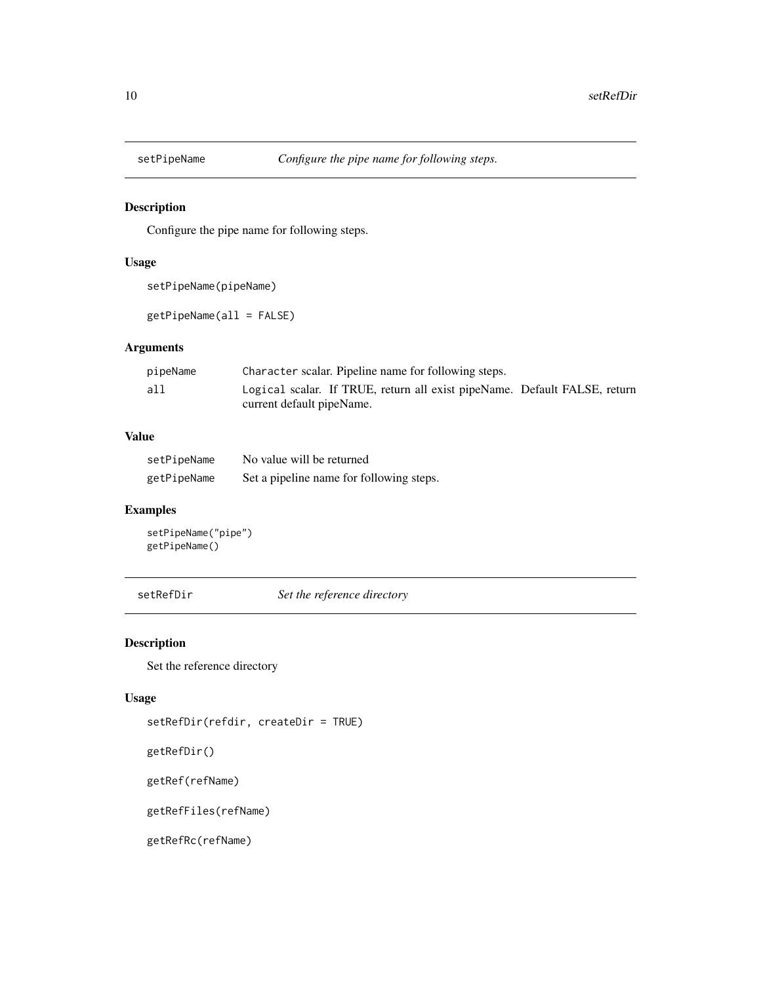<span id="page-9-0"></span>

# Description

Configure the pipe name for following steps.

#### Usage

```
setPipeName(pipeName)
```
getPipeName(all = FALSE)

# Arguments

| pipeName | Character scalar. Pipeline name for following steps.                      |
|----------|---------------------------------------------------------------------------|
| all      | Logical scalar. If TRUE, return all exist pipeName. Default FALSE, return |
|          | current default pipeName.                                                 |

# Value

| setPipeName | No value will be returned                |
|-------------|------------------------------------------|
| getPipeName | Set a pipeline name for following steps. |

# Examples

```
setPipeName("pipe")
getPipeName()
```
setRefDir *Set the reference directory*

# <span id="page-9-1"></span>Description

Set the reference directory

#### Usage

```
setRefDir(refdir, createDir = TRUE)
```
getRefDir()

getRef(refName)

getRefFiles(refName)

getRefRc(refName)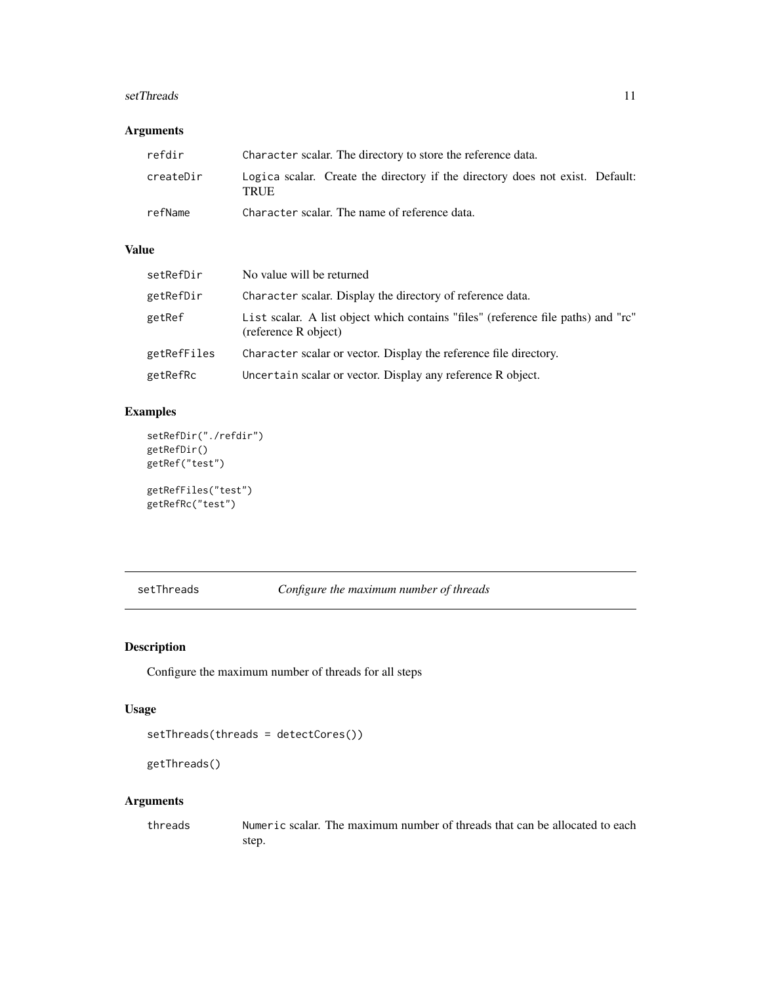#### <span id="page-10-0"></span>setThreads 11

# Arguments

| refdir    | Character scalar. The directory to store the reference data.                          |
|-----------|---------------------------------------------------------------------------------------|
| createDir | Logica scalar. Create the directory if the directory does not exist. Default:<br>TRUE |
| refName   | Character scalar. The name of reference data.                                         |

# Value

| setRefDir   | No value will be returned                                                                                 |
|-------------|-----------------------------------------------------------------------------------------------------------|
| getRefDir   | Character scalar. Display the directory of reference data.                                                |
| getRef      | List scalar. A list object which contains "files" (reference file paths) and "rc"<br>(reference R object) |
| getRefFiles | Character scalar or vector. Display the reference file directory.                                         |
| getRefRc    | Uncertain scalar or vector. Display any reference R object.                                               |

# Examples

```
setRefDir("./refdir")
getRefDir()
getRef("test")
getRefFiles("test")
getRefRc("test")
```
<span id="page-10-1"></span>setThreads *Configure the maximum number of threads*

# Description

Configure the maximum number of threads for all steps

# Usage

```
setThreads(threads = detectCores())
```

```
getThreads()
```
# Arguments

threads Numeric scalar. The maximum number of threads that can be allocated to each step.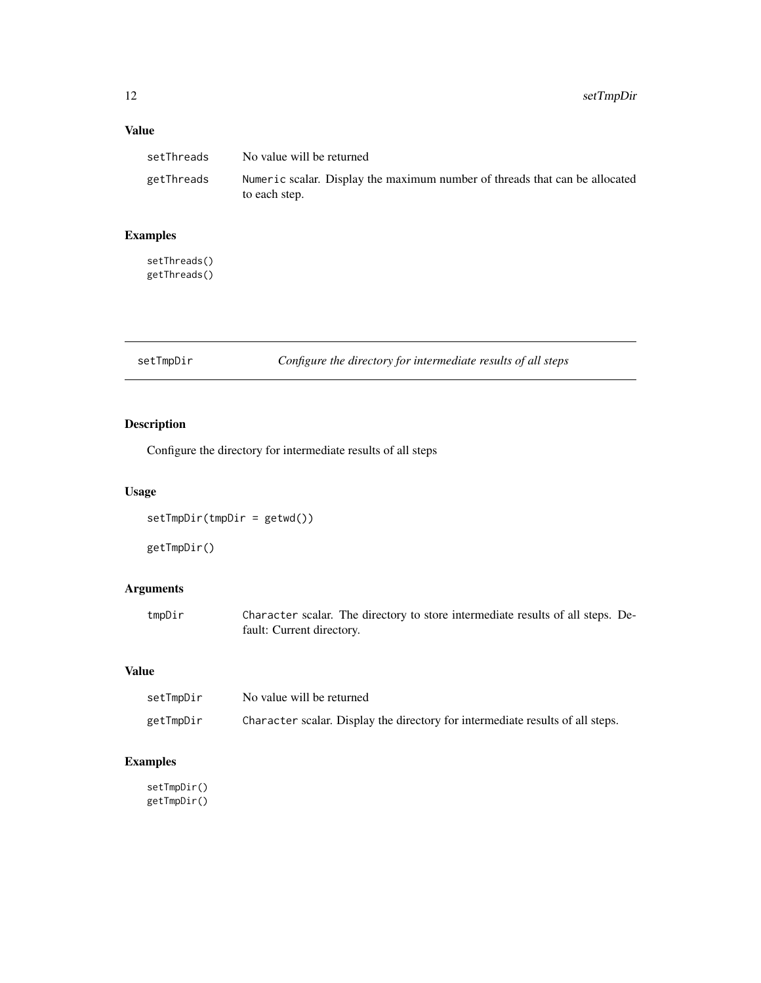# <span id="page-11-0"></span>Value

| setThreads | No value will be returned                                                                    |
|------------|----------------------------------------------------------------------------------------------|
| getThreads | Numeric scalar. Display the maximum number of threads that can be allocated<br>to each step. |

# Examples

setThreads() getThreads()

setTmpDir *Configure the directory for intermediate results of all steps*

# Description

Configure the directory for intermediate results of all steps

# Usage

setTmpDir(tmpDir = getwd())

getTmpDir()

# Arguments

| tmpDir | Character scalar. The directory to store intermediate results of all steps. De- |
|--------|---------------------------------------------------------------------------------|
|        | fault: Current directory.                                                       |

#### Value

| setTmpDir | No value will be returned                                                      |
|-----------|--------------------------------------------------------------------------------|
| getTmpDir | Character scalar. Display the directory for intermediate results of all steps. |

# Examples

setTmpDir() getTmpDir()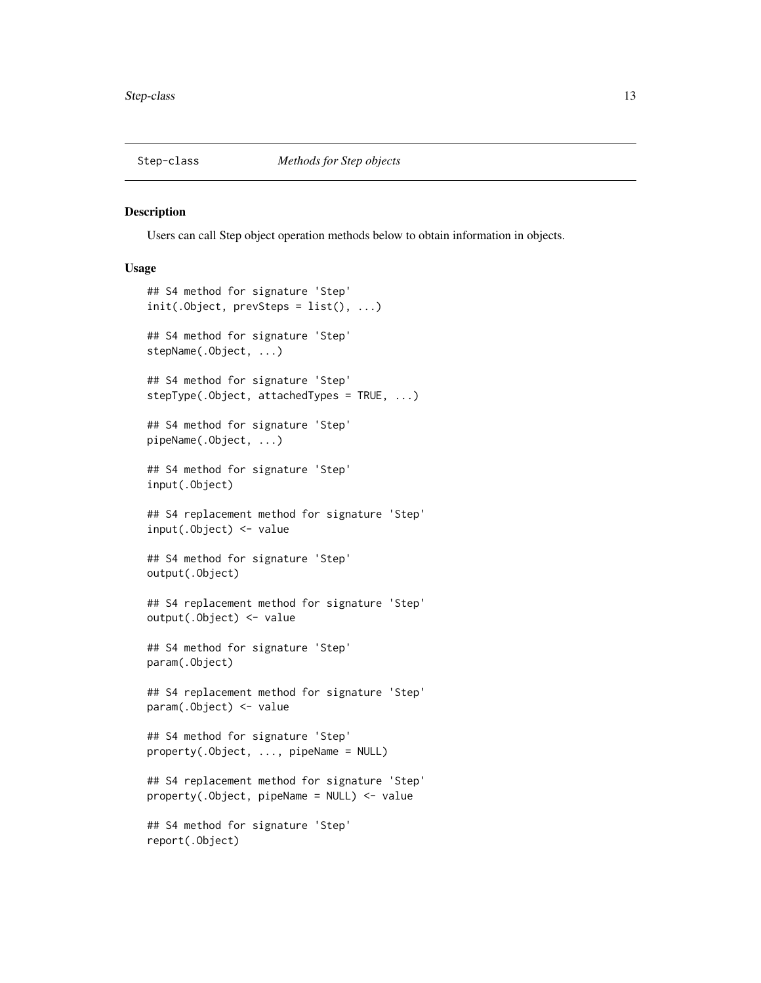<span id="page-12-0"></span>

#### Description

Users can call Step object operation methods below to obtain information in objects.

#### Usage

```
## S4 method for signature 'Step'
init(.Object, prevSteps = list(), ...)
## S4 method for signature 'Step'
stepName(.Object, ...)
## S4 method for signature 'Step'
stepType(.Object, attachedTypes = TRUE, ...)
## S4 method for signature 'Step'
pipeName(.Object, ...)
## S4 method for signature 'Step'
input(.Object)
## S4 replacement method for signature 'Step'
input(.Object) <- value
## S4 method for signature 'Step'
output(.Object)
## S4 replacement method for signature 'Step'
output(.Object) <- value
## S4 method for signature 'Step'
param(.Object)
## S4 replacement method for signature 'Step'
param(.Object) <- value
## S4 method for signature 'Step'
property(.Object, ..., pipeName = NULL)
## S4 replacement method for signature 'Step'
property(.Object, pipeName = NULL) <- value
## S4 method for signature 'Step'
report(.Object)
```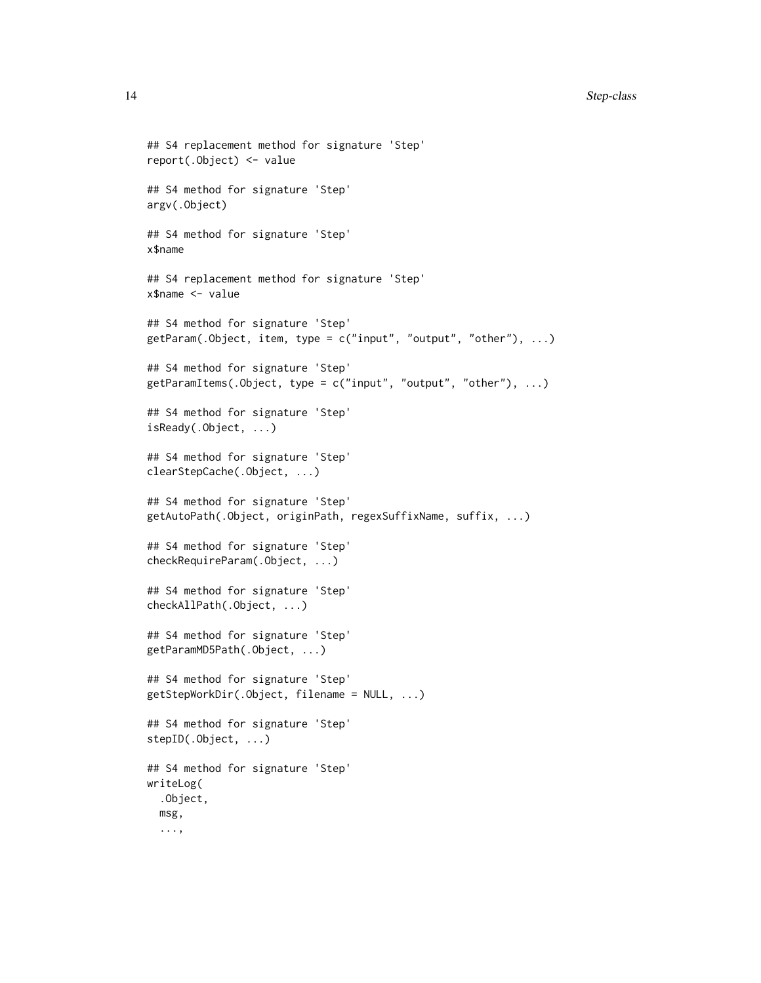```
## S4 replacement method for signature 'Step'
report(.Object) <- value
## S4 method for signature 'Step'
argv(.Object)
## S4 method for signature 'Step'
x$name
## S4 replacement method for signature 'Step'
x$name <- value
## S4 method for signature 'Step'
getParam(.Object, item, type = c("input", "output", "other"), ...)
## S4 method for signature 'Step'
getParamItems(.Object, type = c("input", "output", "other"), ...)
## S4 method for signature 'Step'
isReady(.Object, ...)
## S4 method for signature 'Step'
clearStepCache(.Object, ...)
## S4 method for signature 'Step'
getAutoPath(.Object, originPath, regexSuffixName, suffix, ...)
## S4 method for signature 'Step'
checkRequireParam(.Object, ...)
## S4 method for signature 'Step'
checkAllPath(.Object, ...)
## S4 method for signature 'Step'
getParamMD5Path(.Object, ...)
## S4 method for signature 'Step'
getStepWorkDir(.Object, filename = NULL, ...)
## S4 method for signature 'Step'
stepID(.Object, ...)
## S4 method for signature 'Step'
writeLog(
  .Object,
 msg,
  ...,
```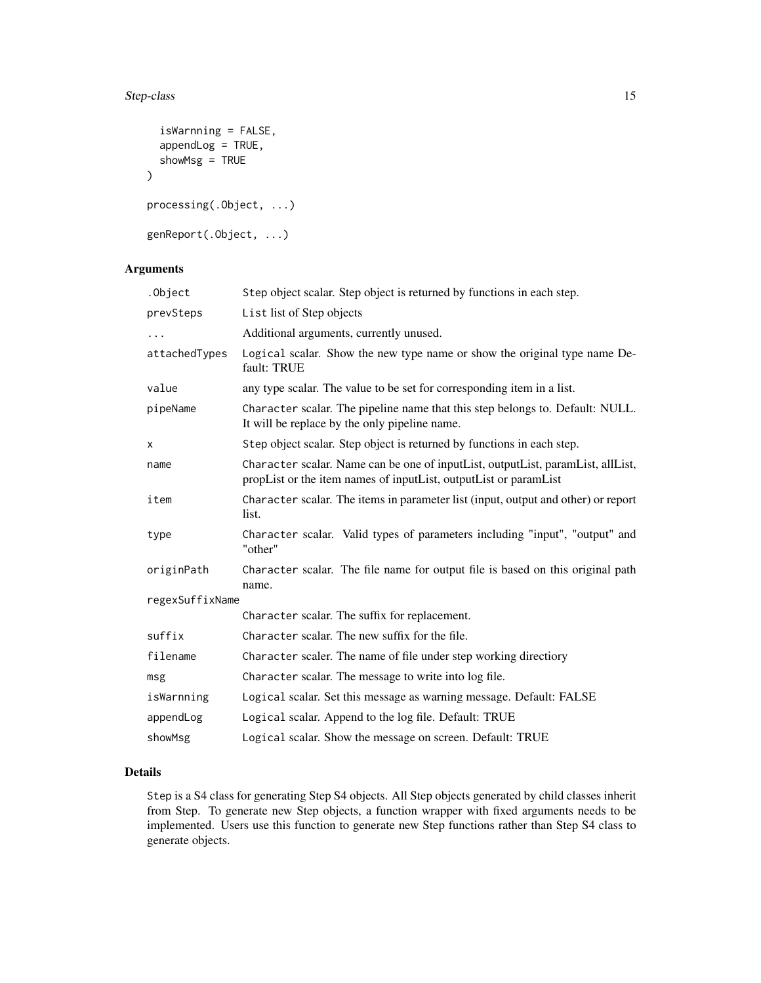# Step-class 15

```
isWarnning = FALSE,
  appendLog = TRUE,
  showMsg = TRUE
\mathcal{L}processing(.Object, ...)
genReport(.Object, ...)
```
# Arguments

| .Object         | Step object scalar. Step object is returned by functions in each step.                                                                              |
|-----------------|-----------------------------------------------------------------------------------------------------------------------------------------------------|
| prevSteps       | List list of Step objects                                                                                                                           |
| $\cdots$        | Additional arguments, currently unused.                                                                                                             |
| attachedTypes   | Logical scalar. Show the new type name or show the original type name De-<br>fault: TRUE                                                            |
| value           | any type scalar. The value to be set for corresponding item in a list.                                                                              |
| pipeName        | Character scalar. The pipeline name that this step belongs to. Default: NULL.<br>It will be replace by the only pipeline name.                      |
| X               | Step object scalar. Step object is returned by functions in each step.                                                                              |
| name            | Character scalar. Name can be one of inputList, outputList, paramList, allList,<br>propList or the item names of inputList, outputList or paramList |
| item            | Character scalar. The items in parameter list (input, output and other) or report<br>list.                                                          |
| type            | Character scalar. Valid types of parameters including "input", "output" and<br>"other"                                                              |
| originPath      | Character scalar. The file name for output file is based on this original path<br>name.                                                             |
| regexSuffixName |                                                                                                                                                     |
|                 | Character scalar. The suffix for replacement.                                                                                                       |
| suffix          | Character scalar. The new suffix for the file.                                                                                                      |
| filename        | Character scaler. The name of file under step working directiory                                                                                    |
| msg             | Character scalar. The message to write into log file.                                                                                               |
| isWarnning      | Logical scalar. Set this message as warning message. Default: FALSE                                                                                 |
| appendLog       | Logical scalar. Append to the log file. Default: TRUE                                                                                               |
| showMsg         | Logical scalar. Show the message on screen. Default: TRUE                                                                                           |

# Details

Step is a S4 class for generating Step S4 objects. All Step objects generated by child classes inherit from Step. To generate new Step objects, a function wrapper with fixed arguments needs to be implemented. Users use this function to generate new Step functions rather than Step S4 class to generate objects.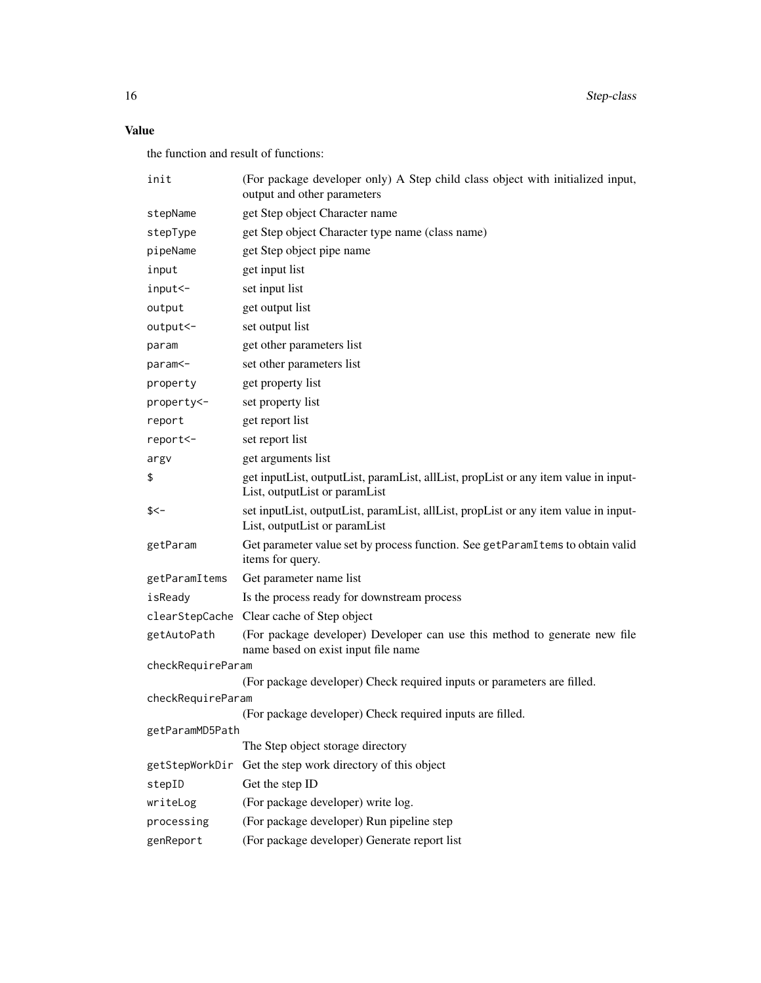16 Step-class

# Value

the function and result of functions:

| init              | (For package developer only) A Step child class object with initialized input,<br>output and other parameters        |
|-------------------|----------------------------------------------------------------------------------------------------------------------|
| stepName          | get Step object Character name                                                                                       |
| stepType          | get Step object Character type name (class name)                                                                     |
| pipeName          | get Step object pipe name                                                                                            |
| input             | get input list                                                                                                       |
| input<-           | set input list                                                                                                       |
| output            | get output list                                                                                                      |
| output<-          | set output list                                                                                                      |
| param             | get other parameters list                                                                                            |
| param<-           | set other parameters list                                                                                            |
| property          | get property list                                                                                                    |
| property<-        | set property list                                                                                                    |
| report            | get report list                                                                                                      |
| report<-          | set report list                                                                                                      |
| argv              | get arguments list                                                                                                   |
| \$                | get inputList, outputList, paramList, allList, propList or any item value in input-<br>List, outputList or paramList |
| \$<-              | set inputList, outputList, paramList, allList, propList or any item value in input-<br>List, outputList or paramList |
| getParam          | Get parameter value set by process function. See getParamItems to obtain valid<br>items for query.                   |
| getParamItems     | Get parameter name list                                                                                              |
| isReady           | Is the process ready for downstream process                                                                          |
|                   | clearStepCache Clear cache of Step object                                                                            |
| getAutoPath       | (For package developer) Developer can use this method to generate new file<br>name based on exist input file name    |
| checkRequireParam |                                                                                                                      |
|                   | (For package developer) Check required inputs or parameters are filled.                                              |
| checkRequireParam |                                                                                                                      |
| getParamMD5Path   | (For package developer) Check required inputs are filled.                                                            |
|                   | The Step object storage directory                                                                                    |
| getStepWorkDir    | Get the step work directory of this object                                                                           |
| stepID            | Get the step ID                                                                                                      |
| writeLog          | (For package developer) write log.                                                                                   |
| processing        | (For package developer) Run pipeline step                                                                            |
| genReport         | (For package developer) Generate report list                                                                         |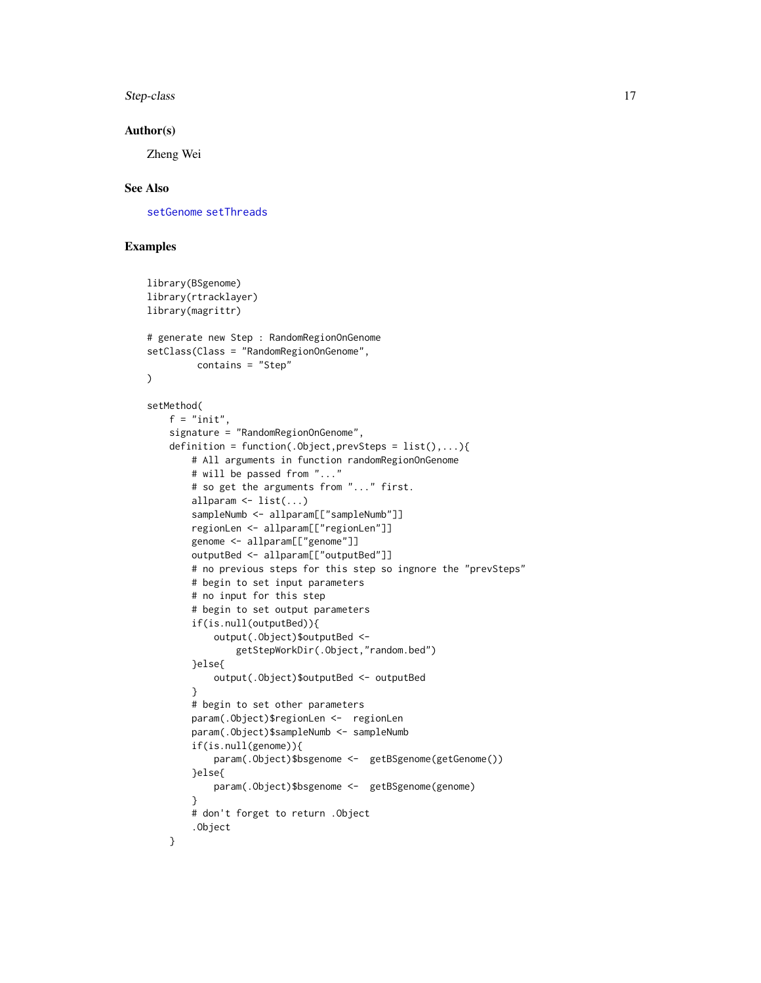<span id="page-16-0"></span>Step-class 17

#### Author(s)

Zheng Wei

## See Also

[setGenome](#page-7-1) [setThreads](#page-10-1)

# Examples

 $\lambda$ 

```
library(BSgenome)
library(rtracklayer)
library(magrittr)
# generate new Step : RandomRegionOnGenome
setClass(Class = "RandomRegionOnGenome",
        contains = "Step"
setMethod(
    f = "init",signature = "RandomRegionOnGenome",
   definition = function(.0bject, prevSteps = list(),...){
       # All arguments in function randomRegionOnGenome
       # will be passed from "..."
       # so get the arguments from "..." first.
       allparam \leq list(...)sampleNumb <- allparam[["sampleNumb"]]
       regionLen <- allparam[["regionLen"]]
       genome <- allparam[["genome"]]
       outputBed <- allparam[["outputBed"]]
       # no previous steps for this step so ingnore the "prevSteps"
       # begin to set input parameters
       # no input for this step
       # begin to set output parameters
       if(is.null(outputBed)){
            output(.Object)$outputBed <-
                getStepWorkDir(.Object,"random.bed")
       }else{
            output(.Object)$outputBed <- outputBed
       }
       # begin to set other parameters
       param(.Object)$regionLen <- regionLen
       param(.Object)$sampleNumb <- sampleNumb
       if(is.null(genome)){
            param(.Object)$bsgenome <- getBSgenome(getGenome())
       }else{
            param(.Object)$bsgenome <- getBSgenome(genome)
       }
       # don't forget to return .Object
        .Object
    }
```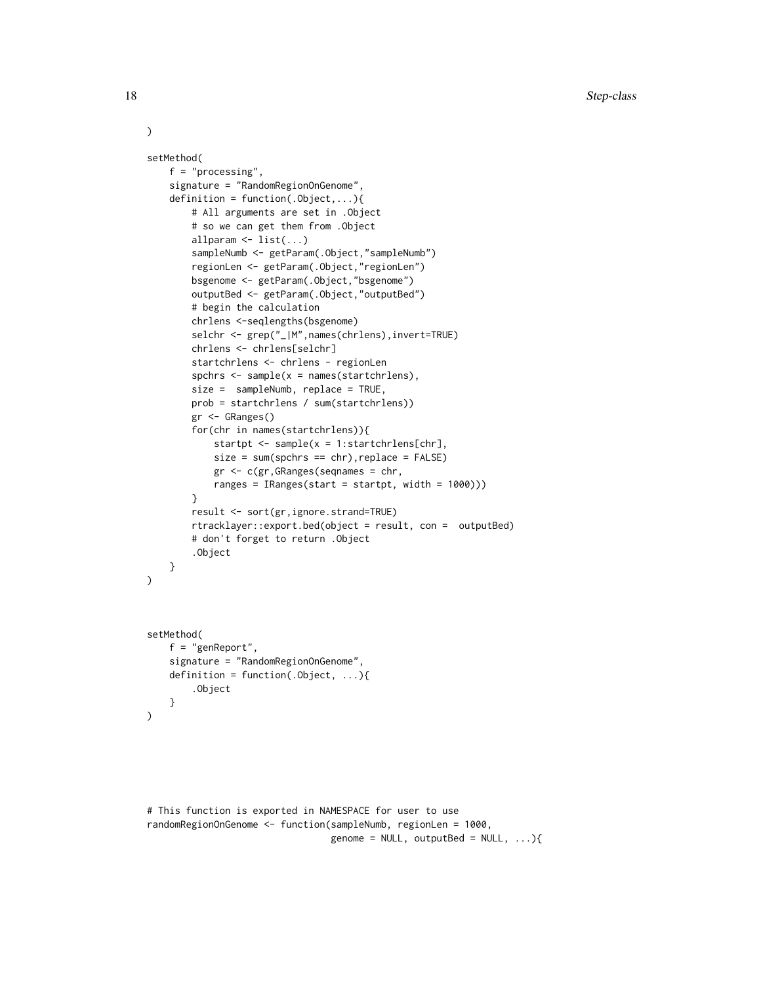```
setMethod(
   f = "processing",
    signature = "RandomRegionOnGenome",
   definition = function(.Object,...){
       # All arguments are set in .Object
        # so we can get them from .Object
       allparam <- list(...)
       sampleNumb <- getParam(.Object,"sampleNumb")
       regionLen <- getParam(.Object,"regionLen")
       bsgenome <- getParam(.Object,"bsgenome")
       outputBed <- getParam(.Object,"outputBed")
       # begin the calculation
       chrlens <-seqlengths(bsgenome)
       selchr <- grep("_|M",names(chrlens),invert=TRUE)
       chrlens <- chrlens[selchr]
       startchrlens <- chrlens - regionLen
       spchrs <- sample(x = names(startchrlens),
       size = sampleNumb, replace = TRUE,
       prob = startchrlens / sum(startchrlens))
       gr <- GRanges()
       for(chr in names(startchrlens)){
            startpt <- sample(x = 1:startchrlens[chr],
            size = sum(spchrs == chr), replace = FALSE)gr <- c(gr,GRanges(seqnames = chr,
            ranges = IRanges(start = startpt, width = 1000)))
        }
       result <- sort(gr,ignore.strand=TRUE)
       rtracklayer::export.bed(object = result, con = outputBed)
       # don't forget to return .Object
        .Object
   }
)
setMethod(
    f = "genReport",
    signature = "RandomRegionOnGenome",
    definition = function(.Object, ...){
        .Object
    }
)
```

```
# This function is exported in NAMESPACE for user to use
randomRegionOnGenome <- function(sampleNumb, regionLen = 1000,
                                 genome = NULL, outputBed = NULL, ...){
```
)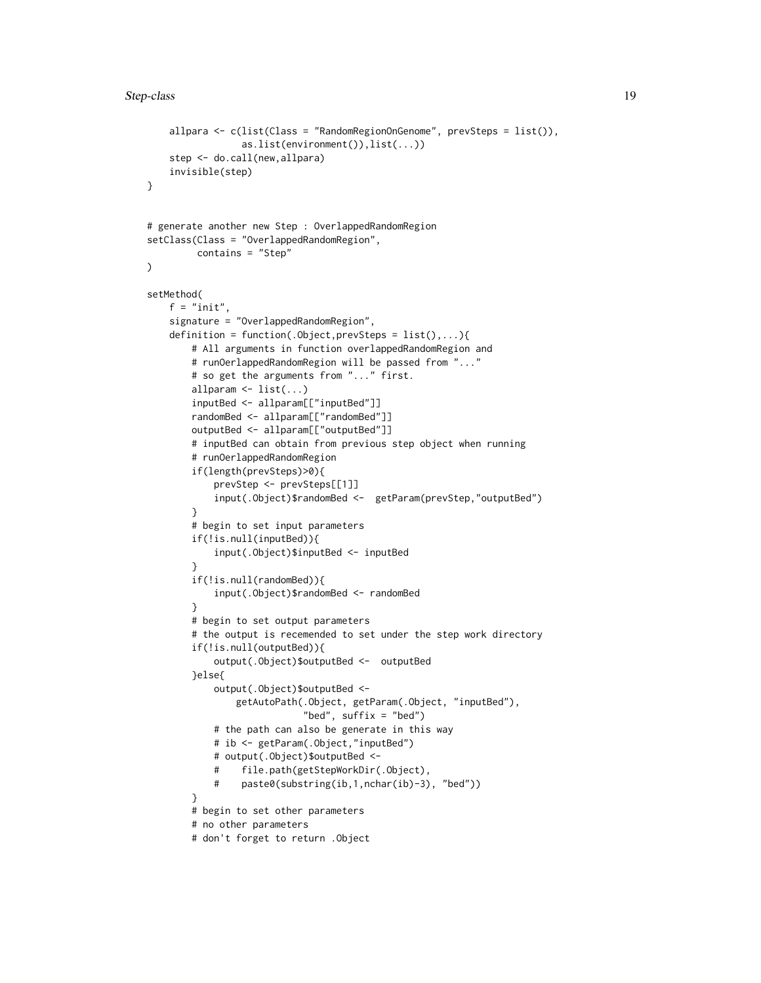```
allpara <- c(list(Class = "RandomRegionOnGenome", prevSteps = list()),
                 as.list(environment()),list(...))
    step <- do.call(new,allpara)
    invisible(step)
}
# generate another new Step : OverlappedRandomRegion
setClass(Class = "OverlappedRandomRegion",
        contains = "Step"
\mathcal{L}setMethod(
    f = "init".
    signature = "OverlappedRandomRegion",
    definition = function(.Object,prevSteps = list(),...){
       # All arguments in function overlappedRandomRegion and
        # runOerlappedRandomRegion will be passed from "..."
       # so get the arguments from "..." first.
       allparam \leq list(...)inputBed <- allparam[["inputBed"]]
       randomBed <- allparam[["randomBed"]]
       outputBed <- allparam[["outputBed"]]
       # inputBed can obtain from previous step object when running
        # runOerlappedRandomRegion
       if(length(prevSteps)>0){
            prevStep <- prevSteps[[1]]
            input(.Object)$randomBed <- getParam(prevStep,"outputBed")
       }
        # begin to set input parameters
        if(!is.null(inputBed)){
            input(.Object)$inputBed <- inputBed
        }
        if(!is.null(randomBed)){
            input(.Object)$randomBed <- randomBed
        }
       # begin to set output parameters
        # the output is recemended to set under the step work directory
       if(!is.null(outputBed)){
            output(.Object)$outputBed <- outputBed
       }else{
            output(.Object)$outputBed <-
                getAutoPath(.Object, getParam(.Object, "inputBed"),
                            "bed", suffix = "bed")
            # the path can also be generate in this way
            # ib <- getParam(.Object,"inputBed")
            # output(.Object)$outputBed <-
            # file.path(getStepWorkDir(.Object),
            # paste0(substring(ib,1,nchar(ib)-3), "bed"))
        }
       # begin to set other parameters
        # no other parameters
       # don't forget to return .Object
```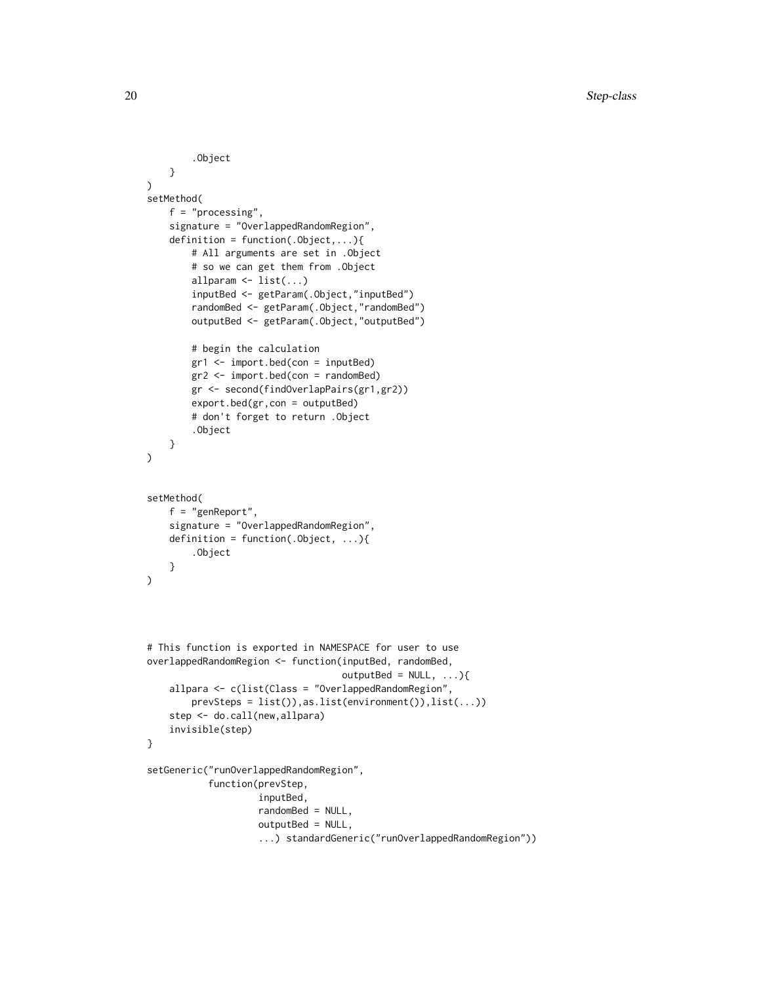```
.Object
   }
)
setMethod(
   f = "processing",signature = "OverlappedRandomRegion",
    definition = function(.0bject,...){
        # All arguments are set in .Object
        # so we can get them from .Object
        allparam <- list(...)
        inputBed <- getParam(.Object,"inputBed")
        randomBed <- getParam(.Object,"randomBed")
        outputBed <- getParam(.Object,"outputBed")
        # begin the calculation
        gr1 <- import.bed(con = inputBed)
        gr2 <- import.bed(con = randomBed)
        gr <- second(findOverlapPairs(gr1,gr2))
        export.bed(gr,con = outputBed)
        # don't forget to return .Object
        .Object
   }
\mathcal{L}setMethod(
   f = "genReport",
    signature = "OverlappedRandomRegion",
   definition = function(.Object, ...){
        .Object
   }
)
# This function is exported in NAMESPACE for user to use
overlappedRandomRegion <- function(inputBed, randomBed,
                                   outputBed = NULL, ...){allpara <- c(list(Class = "OverlappedRandomRegion",
        prevSteps = list()),as.list(environment()),list(...))
    step <- do.call(new,allpara)
    invisible(step)
}
setGeneric("runOverlappedRandomRegion",
           function(prevStep,
                    inputBed,
                    randomBed = NULL,
                    outputBed = NULL,
                    ...) standardGeneric("runOverlappedRandomRegion"))
```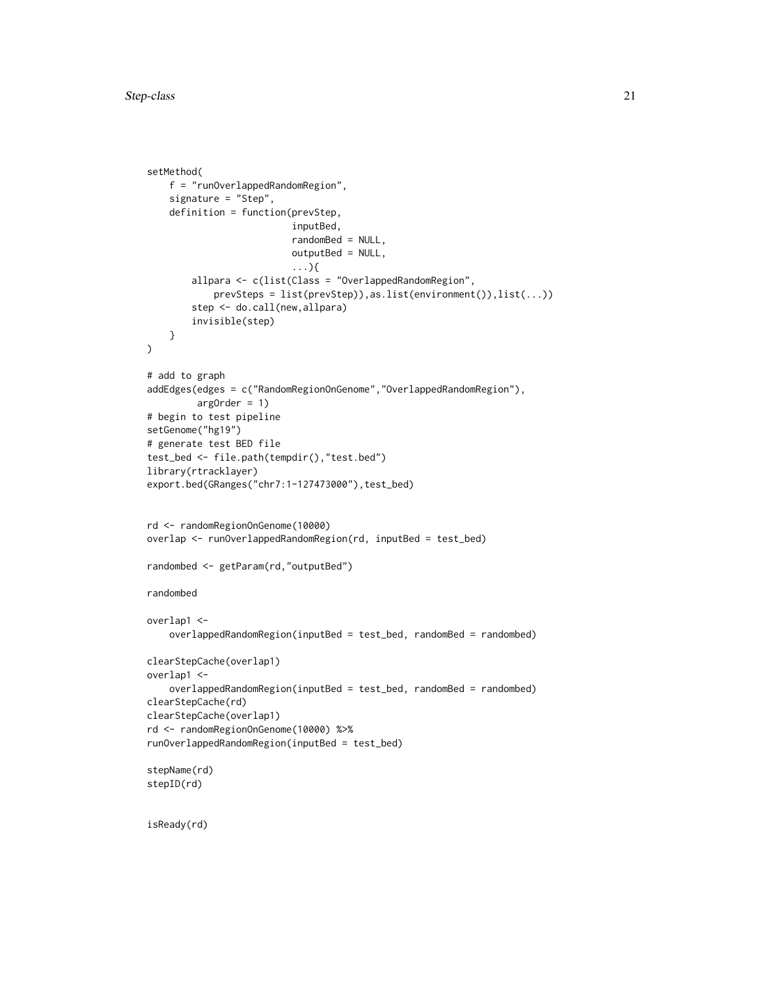```
setMethod(
   f = "runOverlappedRandomRegion",
   signature = "Step",
   definition = function(prevStep,
                          inputBed,
                          randomBed = NULL,
                          outputBed = NULL,
                          ...){
        allpara <- c(list(Class = "OverlappedRandomRegion",
            prevSteps = list(prevStep)),as.list(environment()),list(...))
        step <- do.call(new,allpara)
        invisible(step)
   }
\mathcal{L}# add to graph
addEdges(edges = c("RandomRegionOnGenome","OverlappedRandomRegion"),
         argOrder = 1)# begin to test pipeline
setGenome("hg19")
# generate test BED file
test_bed <- file.path(tempdir(),"test.bed")
library(rtracklayer)
export.bed(GRanges("chr7:1-127473000"),test_bed)
rd <- randomRegionOnGenome(10000)
overlap <- runOverlappedRandomRegion(rd, inputBed = test_bed)
randombed <- getParam(rd,"outputBed")
randombed
overlap1 <-
    overlappedRandomRegion(inputBed = test_bed, randomBed = randombed)
clearStepCache(overlap1)
overlap1 <-
    overlappedRandomRegion(inputBed = test_bed, randomBed = randombed)
clearStepCache(rd)
clearStepCache(overlap1)
rd <- randomRegionOnGenome(10000) %>%
runOverlappedRandomRegion(inputBed = test_bed)
stepName(rd)
stepID(rd)
```
isReady(rd)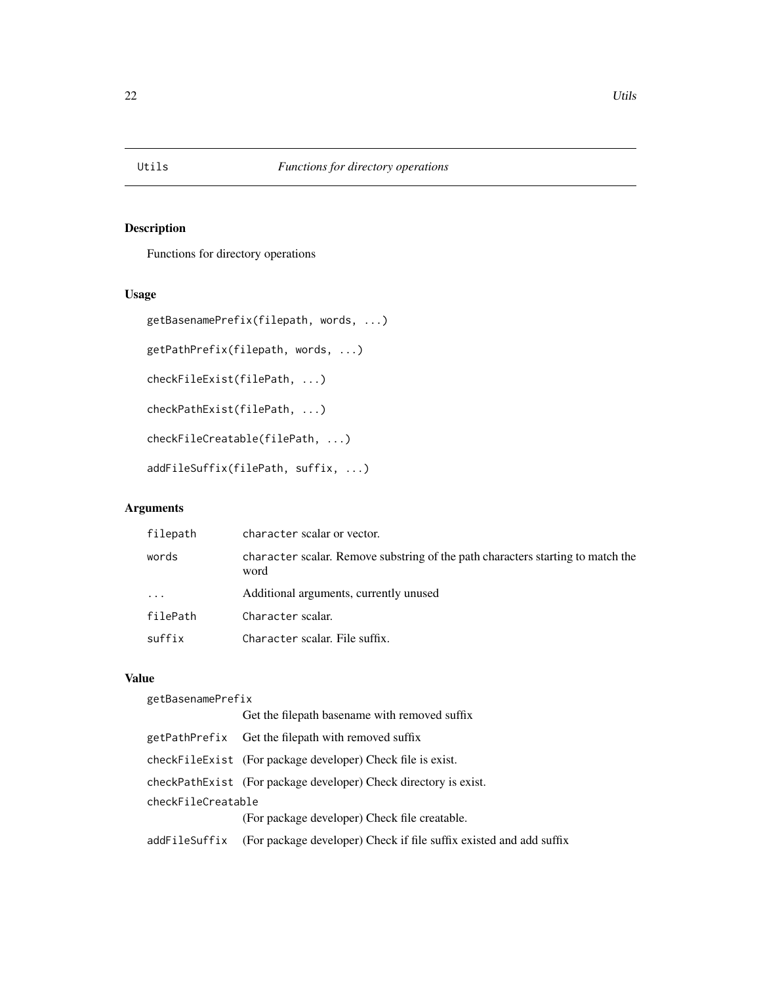<span id="page-21-0"></span>

# Description

Functions for directory operations

# Usage

```
getBasenamePrefix(filepath, words, ...)
getPathPrefix(filepath, words, ...)
checkFileExist(filePath, ...)
checkPathExist(filePath, ...)
checkFileCreatable(filePath, ...)
addFileSuffix(filePath, suffix, ...)
```
# Arguments

| filepath                | character scalar or vector.                                                             |
|-------------------------|-----------------------------------------------------------------------------------------|
| words                   | character scalar. Remove substring of the path characters starting to match the<br>word |
| $\cdot$ $\cdot$ $\cdot$ | Additional arguments, currently unused                                                  |
| filePath                | Character scalar.                                                                       |
| suffix                  | Character scalar. File suffix.                                                          |
|                         |                                                                                         |

# Value

| getBasenamePrefix  |                                                                     |  |
|--------------------|---------------------------------------------------------------------|--|
|                    | Get the filepath basename with removed suffix                       |  |
|                    | getPathPrefix Get the filepath with removed suffix                  |  |
|                    | checkFileExist (For package developer) Check file is exist.         |  |
|                    | checkPathExist (For package developer) Check directory is exist.    |  |
| checkFileCreatable |                                                                     |  |
|                    | (For package developer) Check file creatable.                       |  |
| addFileSuffix      | (For package developer) Check if file suffix existed and add suffix |  |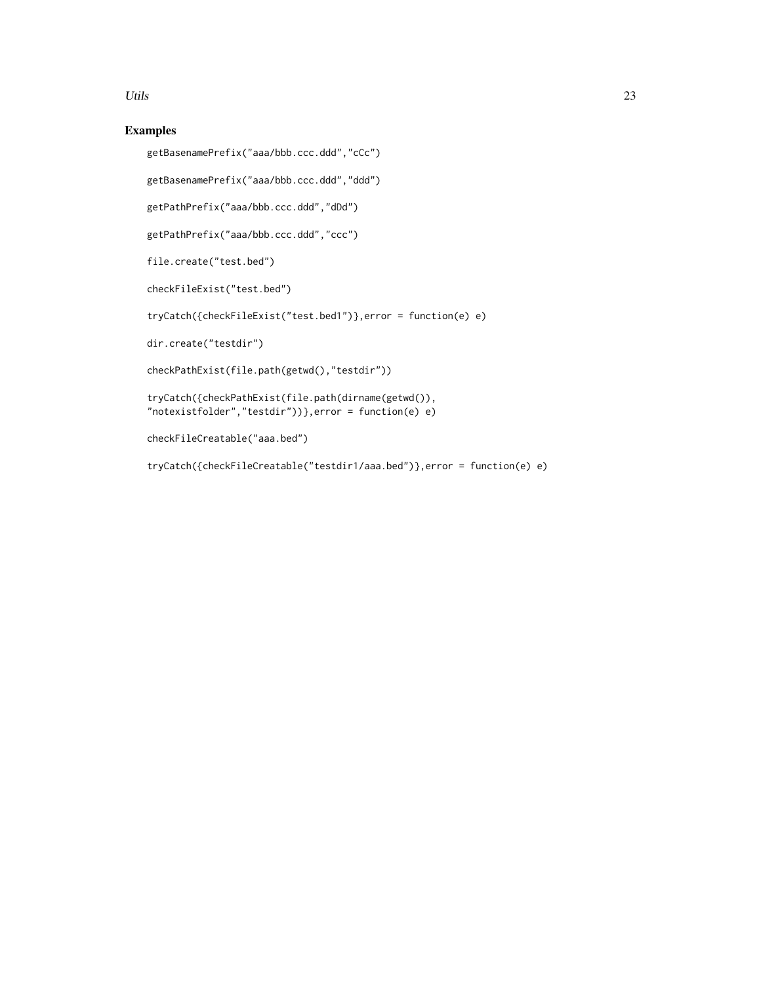#### Utils 23

# Examples

```
getBasenamePrefix("aaa/bbb.ccc.ddd","cCc")
```
getBasenamePrefix("aaa/bbb.ccc.ddd","ddd")

getPathPrefix("aaa/bbb.ccc.ddd","dDd")

getPathPrefix("aaa/bbb.ccc.ddd","ccc")

file.create("test.bed")

checkFileExist("test.bed")

tryCatch({checkFileExist("test.bed1")},error = function(e) e)

dir.create("testdir")

```
checkPathExist(file.path(getwd(),"testdir"))
```
tryCatch({checkPathExist(file.path(dirname(getwd()), "notexistfolder","testdir"))},error = function(e) e)

```
checkFileCreatable("aaa.bed")
```

```
tryCatch({checkFileCreatable("testdir1/aaa.bed")},error = function(e) e)
```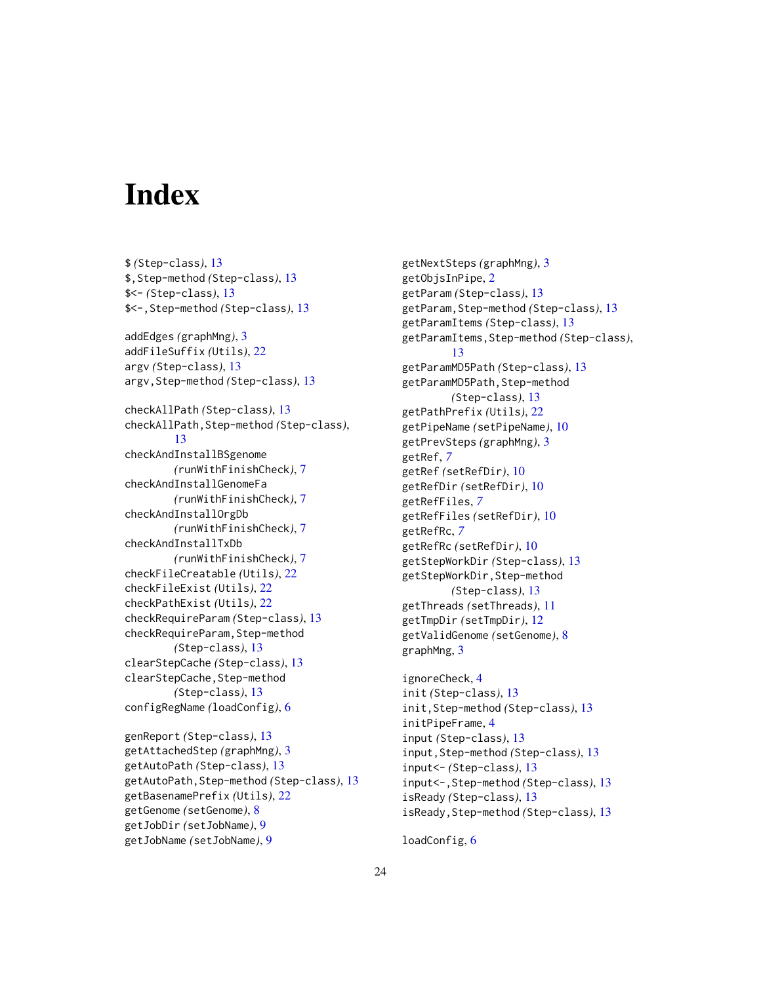# <span id="page-23-0"></span>**Index**

\$ *(*Step-class*)*, [13](#page-12-0) \$,Step-method *(*Step-class*)*, [13](#page-12-0) \$<- *(*Step-class*)*, [13](#page-12-0) \$<-,Step-method *(*Step-class*)*, [13](#page-12-0) addEdges *(*graphMng*)*, [3](#page-2-0) addFileSuffix *(*Utils*)*, [22](#page-21-0) argv *(*Step-class*)*, [13](#page-12-0) argv,Step-method *(*Step-class*)*, [13](#page-12-0) checkAllPath *(*Step-class*)*, [13](#page-12-0) checkAllPath,Step-method *(*Step-class*)*, [13](#page-12-0) checkAndInstallBSgenome *(*runWithFinishCheck*)*, [7](#page-6-0) checkAndInstallGenomeFa *(*runWithFinishCheck*)*, [7](#page-6-0) checkAndInstallOrgDb *(*runWithFinishCheck*)*, [7](#page-6-0) checkAndInstallTxDb *(*runWithFinishCheck*)*, [7](#page-6-0) checkFileCreatable *(*Utils*)*, [22](#page-21-0) checkFileExist *(*Utils*)*, [22](#page-21-0) checkPathExist *(*Utils*)*, [22](#page-21-0) checkRequireParam *(*Step-class*)*, [13](#page-12-0) checkRequireParam, Step-method *(*Step-class*)*, [13](#page-12-0) clearStepCache *(*Step-class*)*, [13](#page-12-0) clearStepCache,Step-method *(*Step-class*)*, [13](#page-12-0) configRegName *(*loadConfig*)*, [6](#page-5-0) genReport *(*Step-class*)*, [13](#page-12-0) getAttachedStep *(*graphMng*)*, [3](#page-2-0) getAutoPath *(*Step-class*)*, [13](#page-12-0) getAutoPath,Step-method *(*Step-class*)*, [13](#page-12-0)

getBasenamePrefix *(*Utils*)*, [22](#page-21-0) getGenome *(*setGenome*)*, [8](#page-7-0) getJobDir *(*setJobName*)*, [9](#page-8-0) getJobName *(*setJobName*)*, [9](#page-8-0)

getNextSteps *(*graphMng*)*, [3](#page-2-0) getObjsInPipe, [2](#page-1-0) getParam *(*Step-class*)*, [13](#page-12-0) getParam,Step-method *(*Step-class*)*, [13](#page-12-0) getParamItems *(*Step-class*)*, [13](#page-12-0) getParamItems,Step-method *(*Step-class*)*, [13](#page-12-0) getParamMD5Path *(*Step-class*)*, [13](#page-12-0) getParamMD5Path,Step-method *(*Step-class*)*, [13](#page-12-0) getPathPrefix *(*Utils*)*, [22](#page-21-0) getPipeName *(*setPipeName*)*, [10](#page-9-0) getPrevSteps *(*graphMng*)*, [3](#page-2-0) getRef, *[7](#page-6-0)* getRef *(*setRefDir*)*, [10](#page-9-0) getRefDir *(*setRefDir*)*, [10](#page-9-0) getRefFiles, *[7](#page-6-0)* getRefFiles *(*setRefDir*)*, [10](#page-9-0) getRefRc, *[7](#page-6-0)* getRefRc *(*setRefDir*)*, [10](#page-9-0) getStepWorkDir *(*Step-class*)*, [13](#page-12-0) getStepWorkDir,Step-method *(*Step-class*)*, [13](#page-12-0) getThreads *(*setThreads*)*, [11](#page-10-0) getTmpDir *(*setTmpDir*)*, [12](#page-11-0) getValidGenome *(*setGenome*)*, [8](#page-7-0) graphMng, [3](#page-2-0)

```
ignoreCheck, 4
init (Step-class), 13
init,Step-method (Step-class), 13
initPipeFrame, 4
input (Step-class), 13
input,Step-method (Step-class), 13
input<- (Step-class), 13
input<-,Step-method (Step-class), 13
isReady (Step-class), 13
isReady,Step-method (Step-class), 13
```
loadConfig, [6](#page-5-0)